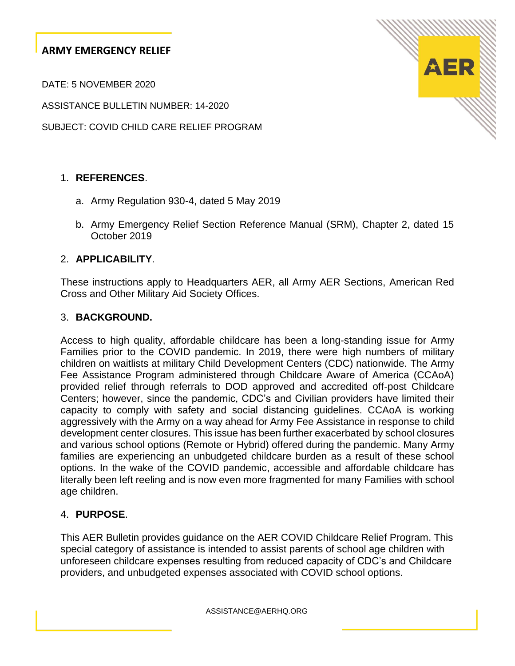DATE: 5 NOVEMBER 2020

ASSISTANCE BULLETIN NUMBER: 14-2020

SUBJECT: COVID CHILD CARE RELIEF PROGRAM

## 1. **REFERENCES**.

- a. Army Regulation 930-4, dated 5 May 2019
- b. Army Emergency Relief Section Reference Manual (SRM), Chapter 2, dated 15 October 2019

### 2. **APPLICABILITY**.

These instructions apply to Headquarters AER, all Army AER Sections, American Red Cross and Other Military Aid Society Offices.

#### 3. **BACKGROUND.**

Access to high quality, affordable childcare has been a long-standing issue for Army Families prior to the COVID pandemic. In 2019, there were high numbers of military children on waitlists at military Child Development Centers (CDC) nationwide. The Army Fee Assistance Program administered through Childcare Aware of America (CCAoA) provided relief through referrals to DOD approved and accredited off-post Childcare Centers; however, since the pandemic, CDC's and Civilian providers have limited their capacity to comply with safety and social distancing guidelines. CCAoA is working aggressively with the Army on a way ahead for Army Fee Assistance in response to child development center closures. This issue has been further exacerbated by school closures and various school options (Remote or Hybrid) offered during the pandemic. Many Army families are experiencing an unbudgeted childcare burden as a result of these school options. In the wake of the COVID pandemic, accessible and affordable childcare has literally been left reeling and is now even more fragmented for many Families with school age children.

#### 4. **PURPOSE**.

This AER Bulletin provides guidance on the AER COVID Childcare Relief Program. This special category of assistance is intended to assist parents of school age children with unforeseen childcare expenses resulting from reduced capacity of CDC's and Childcare providers, and unbudgeted expenses associated with COVID school options.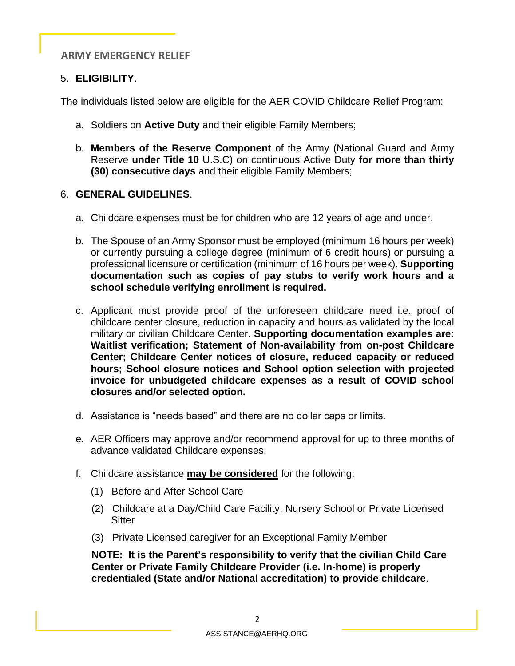### 5. **ELIGIBILITY**.

The individuals listed below are eligible for the AER COVID Childcare Relief Program:

- a. Soldiers on **Active Duty** and their eligible Family Members;
- b. **Members of the Reserve Component** of the Army (National Guard and Army Reserve **under Title 10** U.S.C) on continuous Active Duty **for more than thirty (30) consecutive days** and their eligible Family Members;

### 6. **GENERAL GUIDELINES**.

- a. Childcare expenses must be for children who are 12 years of age and under.
- b. The Spouse of an Army Sponsor must be employed (minimum 16 hours per week) or currently pursuing a college degree (minimum of 6 credit hours) or pursuing a professional licensure or certification (minimum of 16 hours per week). **Supporting documentation such as copies of pay stubs to verify work hours and a school schedule verifying enrollment is required.**
- c. Applicant must provide proof of the unforeseen childcare need i.e. proof of childcare center closure, reduction in capacity and hours as validated by the local military or civilian Childcare Center. **Supporting documentation examples are: Waitlist verification; Statement of Non-availability from on-post Childcare Center; Childcare Center notices of closure, reduced capacity or reduced hours; School closure notices and School option selection with projected invoice for unbudgeted childcare expenses as a result of COVID school closures and/or selected option.**
- d. Assistance is "needs based" and there are no dollar caps or limits.
- e. AER Officers may approve and/or recommend approval for up to three months of advance validated Childcare expenses.
- f. Childcare assistance **may be considered** for the following:
	- (1) Before and After School Care
	- (2) Childcare at a Day/Child Care Facility, Nursery School or Private Licensed **Sitter**
	- (3) Private Licensed caregiver for an Exceptional Family Member

 **NOTE: It is the Parent's responsibility to verify that the civilian Child Care Center or Private Family Childcare Provider (i.e. In-home) is properly credentialed (State and/or National accreditation) to provide childcare**.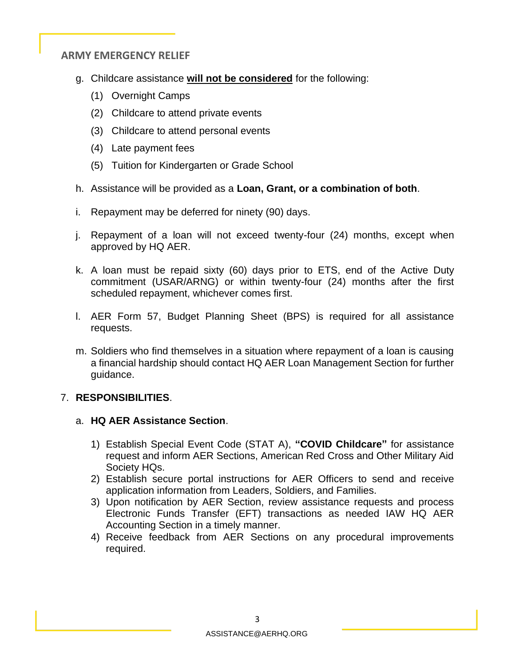- g. Childcare assistance **will not be considered** for the following:
	- (1) Overnight Camps
	- (2) Childcare to attend private events
	- (3) Childcare to attend personal events
	- (4) Late payment fees
	- (5) Tuition for Kindergarten or Grade School
- h. Assistance will be provided as a **Loan, Grant, or a combination of both**.
- i. Repayment may be deferred for ninety (90) days.
- j. Repayment of a loan will not exceed twenty-four (24) months, except when approved by HQ AER.
- k. A loan must be repaid sixty (60) days prior to ETS, end of the Active Duty commitment (USAR/ARNG) or within twenty-four (24) months after the first scheduled repayment, whichever comes first.
- l. AER Form 57, Budget Planning Sheet (BPS) is required for all assistance requests.
- m. Soldiers who find themselves in a situation where repayment of a loan is causing a financial hardship should contact HQ AER Loan Management Section for further guidance.

## 7. **RESPONSIBILITIES**.

#### a. **HQ AER Assistance Section**.

- 1) Establish Special Event Code (STAT A), **"COVID Childcare"** for assistance request and inform AER Sections, American Red Cross and Other Military Aid Society HQs.
- 2) Establish secure portal instructions for AER Officers to send and receive application information from Leaders, Soldiers, and Families.
- 3) Upon notification by AER Section, review assistance requests and process Electronic Funds Transfer (EFT) transactions as needed IAW HQ AER Accounting Section in a timely manner.
- 4) Receive feedback from AER Sections on any procedural improvements required.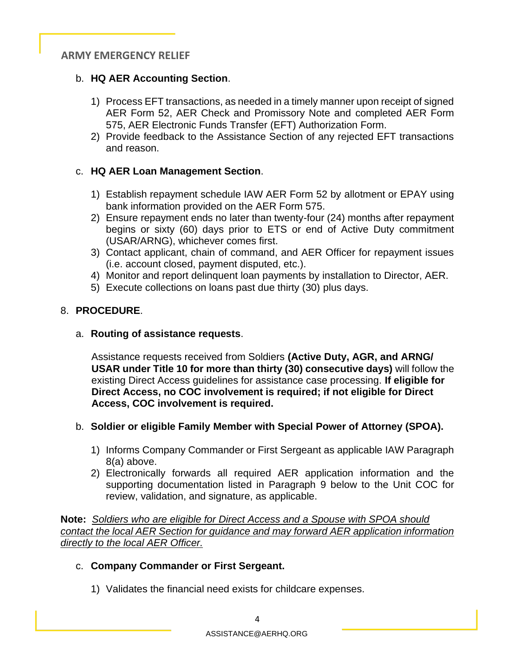# b. **HQ AER Accounting Section**.

- 1) Process EFT transactions, as needed in a timely manner upon receipt of signed AER Form 52, AER Check and Promissory Note and completed AER Form 575, AER Electronic Funds Transfer (EFT) Authorization Form.
- 2) Provide feedback to the Assistance Section of any rejected EFT transactions and reason.

# c. **HQ AER Loan Management Section**.

- 1) Establish repayment schedule IAW AER Form 52 by allotment or EPAY using bank information provided on the AER Form 575.
- 2) Ensure repayment ends no later than twenty-four (24) months after repayment begins or sixty (60) days prior to ETS or end of Active Duty commitment (USAR/ARNG), whichever comes first.
- 3) Contact applicant, chain of command, and AER Officer for repayment issues (i.e. account closed, payment disputed, etc.).
- 4) Monitor and report delinquent loan payments by installation to Director, AER.
- 5) Execute collections on loans past due thirty (30) plus days.

# 8. **PROCEDURE**.

a. **Routing of assistance requests**.

 Assistance requests received from Soldiers **(Active Duty, AGR, and ARNG/ USAR under Title 10 for more than thirty (30) consecutive days)** will follow the existing Direct Access guidelines for assistance case processing. **If eligible for Direct Access, no COC involvement is required; if not eligible for Direct Access, COC involvement is required.**

## b. **Soldier or eligible Family Member with Special Power of Attorney (SPOA).**

- 1) Informs Company Commander or First Sergeant as applicable IAW Paragraph 8(a) above.
- 2) Electronically forwards all required AER application information and the supporting documentation listed in Paragraph 9 below to the Unit COC for review, validation, and signature, as applicable.

**Note:** *Soldiers who are eligible for Direct Access and a Spouse with SPOA should contact the local AER Section for guidance and may forward AER application information directly to the local AER Officer.*

## c. **Company Commander or First Sergeant.**

1) Validates the financial need exists for childcare expenses.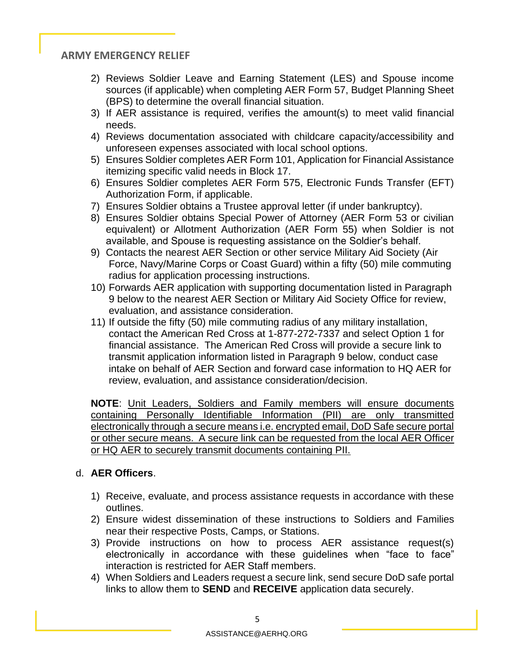- 2) Reviews Soldier Leave and Earning Statement (LES) and Spouse income sources (if applicable) when completing AER Form 57, Budget Planning Sheet (BPS) to determine the overall financial situation.
- 3) If AER assistance is required, verifies the amount(s) to meet valid financial needs.
- 4) Reviews documentation associated with childcare capacity/accessibility and unforeseen expenses associated with local school options.
- 5) Ensures Soldier completes AER Form 101, Application for Financial Assistance itemizing specific valid needs in Block 17.
- 6) Ensures Soldier completes AER Form 575, Electronic Funds Transfer (EFT) Authorization Form, if applicable.
- 7) Ensures Soldier obtains a Trustee approval letter (if under bankruptcy).
- 8) Ensures Soldier obtains Special Power of Attorney (AER Form 53 or civilian equivalent) or Allotment Authorization (AER Form 55) when Soldier is not available, and Spouse is requesting assistance on the Soldier's behalf.
- 9) Contacts the nearest AER Section or other service Military Aid Society (Air Force, Navy/Marine Corps or Coast Guard) within a fifty (50) mile commuting radius for application processing instructions.
- 10) Forwards AER application with supporting documentation listed in Paragraph 9 below to the nearest AER Section or Military Aid Society Office for review, evaluation, and assistance consideration.
- 11) If outside the fifty (50) mile commuting radius of any military installation, contact the American Red Cross at 1-877-272-7337 and select Option 1 for financial assistance. The American Red Cross will provide a secure link to transmit application information listed in Paragraph 9 below, conduct case intake on behalf of AER Section and forward case information to HQ AER for review, evaluation, and assistance consideration/decision.

**NOTE**: Unit Leaders, Soldiers and Family members will ensure documents containing Personally Identifiable Information (PII) are only transmitted electronically through a secure means i.e. encrypted email, DoD Safe secure portal or other secure means. A secure link can be requested from the local AER Officer or HQ AER to securely transmit documents containing PII.

#### d. **AER Officers**.

- 1) Receive, evaluate, and process assistance requests in accordance with these outlines.
- 2) Ensure widest dissemination of these instructions to Soldiers and Families near their respective Posts, Camps, or Stations.
- 3) Provide instructions on how to process AER assistance request(s) electronically in accordance with these guidelines when "face to face" interaction is restricted for AER Staff members.
- 4) When Soldiers and Leaders request a secure link, send secure DoD safe portal links to allow them to **SEND** and **RECEIVE** application data securely.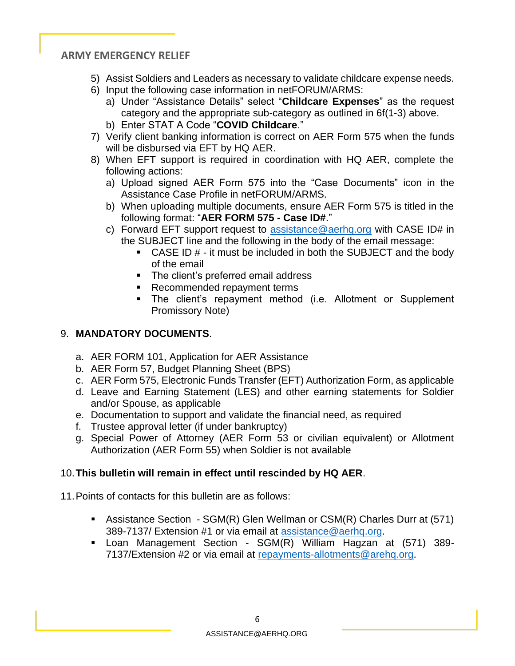- 5) Assist Soldiers and Leaders as necessary to validate childcare expense needs.
- 6) Input the following case information in netFORUM/ARMS:
	- a) Under "Assistance Details" select "**Childcare Expenses**" as the request category and the appropriate sub-category as outlined in 6f(1-3) above.
	- b) Enter STAT A Code "**COVID Childcare**."
- 7) Verify client banking information is correct on AER Form 575 when the funds will be disbursed via EFT by HQ AER.
- 8) When EFT support is required in coordination with HQ AER, complete the following actions:
	- a) Upload signed AER Form 575 into the "Case Documents" icon in the Assistance Case Profile in netFORUM/ARMS.
	- b) When uploading multiple documents, ensure AER Form 575 is titled in the following format: "**AER FORM 575 - Case ID#**."
	- c) Forward EFT support request to [assistance@aerhq.org](mailto:assistance@aerhq.org) with CASE ID# in the SUBJECT line and the following in the body of the email message:
		- $\blacksquare$  CASE ID  $\#$  it must be included in both the SUBJECT and the body of the email
		- The client's preferred email address
		- Recommended repayment terms
		- The client's repayment method (i.e. Allotment or Supplement Promissory Note)

## 9. **MANDATORY DOCUMENTS**.

- a. AER FORM 101, Application for AER Assistance
- b. AER Form 57, Budget Planning Sheet (BPS)
- c. AER Form 575, Electronic Funds Transfer (EFT) Authorization Form, as applicable
- d. Leave and Earning Statement (LES) and other earning statements for Soldier and/or Spouse, as applicable
- e. Documentation to support and validate the financial need, as required
- f. Trustee approval letter (if under bankruptcy)
- g. Special Power of Attorney (AER Form 53 or civilian equivalent) or Allotment Authorization (AER Form 55) when Soldier is not available

## 10.**This bulletin will remain in effect until rescinded by HQ AER**.

11.Points of contacts for this bulletin are as follows:

- Assistance Section SGM(R) Glen Wellman or CSM(R) Charles Durr at (571) 389-7137/ Extension #1 or via email at [assistance@aerhq.org.](mailto:assistance@aerhq.org)
- Loan Management Section SGM(R) William Hagzan at (571) 389- 7137/Extension #2 or via email at [repayments-allotments@arehq.org.](mailto:repayments-allotments@arehq.org)